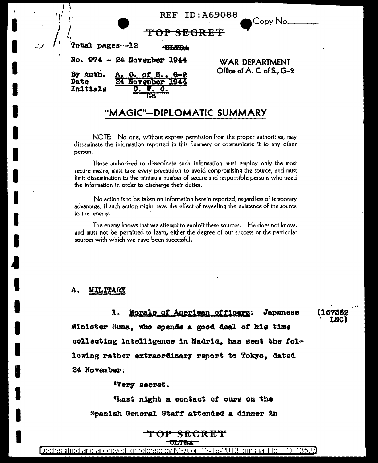| <b>REF ID: A69088</b> |  |  |  |
|-----------------------|--|--|--|
|-----------------------|--|--|--|

Copy No.

LNG)

Total pages--12 <del>ULTBA</del> No. 974 - 24 November 1944 By Auth.  $Q.$  of  $B.$ .  $Q=2$ A Date 24 November 1944 Initials  $\mathbf{C}_{\pm}$ 

eS

**WAR DEPARTMENT** Office of A. C. of S., G-2

# "MAGIC"-DIPLOMATIC SUMMARY

NOTE: No one, without express permission from the proper authorities, may disseminate the information reported in this Summary or communicate it to any other person.

Those authorized to disseminate such information must employ only the most secure means, must take every precaution to avoid compromising the source, and must limit dissemination to the minimum number of secure and responsible persons who need the information in order to discharge their duties.

No action is to be taken on information herein reported, regardless of temporary advantage, if such action might have the effect of revealing the existence of the source to the enemy.

The enemy knows that we attempt to exploit these sources. He does not know, and must not be permitted to learn, either the degree of our success or the particular sources with which we have been successful.

## **MILITARY**

1. Morale of American officers: Japanese Minister Suma, who spends a good deal of his time collecting intelligence in Madrid, has sent the following rather extraordinary report to Tokyo, dated 24 November:

"Very secret.

"Last night a contact of ours on the Spanish General Staff attended a dinner in

## <del>TOP SECRET</del> **TULTRA**

Declassified and approved for release by NSA on 12-19-2013  $\,$  pursuant to E.O. 13526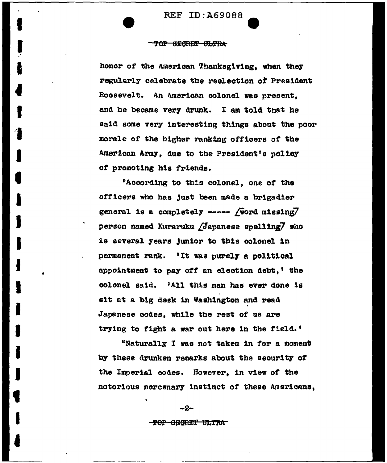## <del>TOP SECRET ULTRA</del>

honor of the American Thanksgiving, when they regularly celebrate the reelection of President Roosevelt. An American colonel was present. and he became very drunk. I am told that he said some very interesting things about the poor morale of the higher ranking officers of the American Army, due to the President's policy of promoting his friends.

"According to this colonel, one of the officers who has just been made a brigadier general is a completely ----- [word missing] person named Kuraruku /Japanese spelling/ who is several years junior to this colonel in permanent rank. 'It was purely a political appointment to pay off an election debt,' the colonel said. 'All this man has ever done is sit at a big desk in Washington and read Japanese codes, while the rest of us are trying to fight a war out here in the field.'

"Naturally I was not taken in for a moment by these drunken remarks about the security of the Imperial codes. However, in view of the notorious mercenary instinct of these Americans,

> $-2-$ <del>-TOP GEGRET ULTRA</del>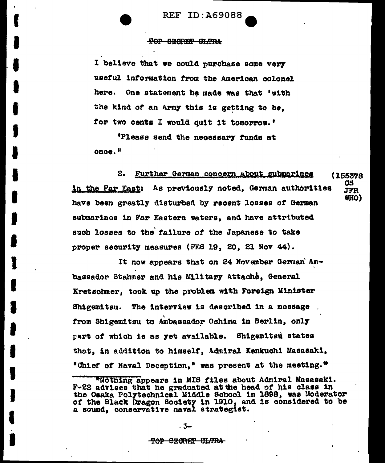**REF ID:A69088** 

## <del>TOP SEGRET VLTRA</del>

I believe that we could purchase some very useful information from the American colonel here. One statement he made was that 'with the kind of an Army this is getting to be. for two cents I would quit it tomorrow.'

"Please send the necessary funds at once.<sup>8</sup>

2. Further German concern about submarines (165378 08 in the Far East: As previously noted, German authorities **JFR** WHO) have been greatly disturbed by recent losses of German submarines in Far Eastern waters, and have attributed such losses to the failure of the Japanese to take proper security measures (FES 19, 20, 21 Nov 44).

It now appears that on 24 November German Ambassador Stahmer and his Military Attache, General Kretschmer, took up the problem with Foreign Minister The interview is described in a message **Shigemitsu.** from Shigemitsu to Ambassador Oshima in Berlin, only part of which is as yet available. Shigemitsu states that, in addition to himself, Admiral Kenkuchi Masasaki, "Chief of Naval Deception," was present at the meeting."

- 3⇔

<sup>\*</sup>Nothing appears in MIS files about Admiral Masasaki. F-22 advises that he graduated at the head of his class in the Osaka Polytechnical Middle School in 1898, was Moderator of the Black Dragon Society in 1910, and is considered to be a sound, conservative naval strategist.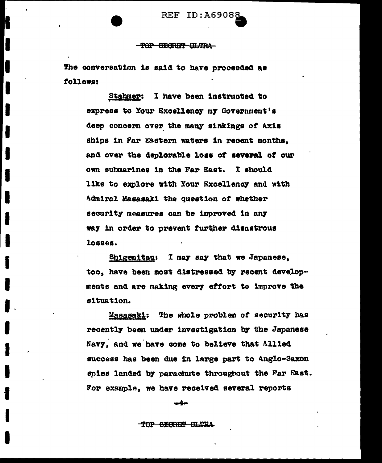## -TOP SECRET ULTRA

The conversation is said to have proceeded as follows:

> Stahmer: I have been instructed to express to Your Excellency my Government's deep concern over the many sinkings of Axis ships in Far Eastern waters in recent months. and over the deplorable loss of several of our own submarines in the Far East. I should like to explore with Your Excellency and with Admiral Masasaki the question of whether security measures can be improved in any way in order to prevent further disastrous losses.

Shigemitsu: I may say that we Japanese, too, have been most distressed by recent developments and are making every effort to improve the situation.

Masasaki: The whole problem of security has recently been under investigation by the Japanese Navy, and we have come to believe that Allied success has been due in large part to Anglo-Saxon snies landed by parachute throughout the Far East. For example, we have received several reports

mam

TOP SECRET ULTRA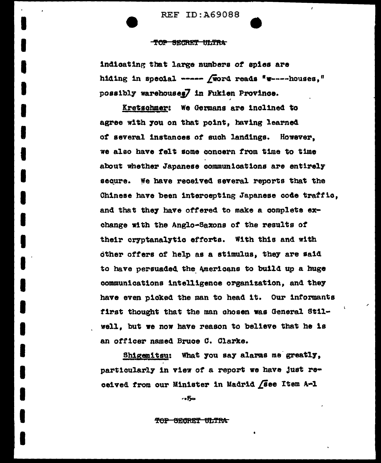## TOP SECRET ULTRA

indicating that large numbers of spies are hiding in special ----- (word reads "w----houses," possibly warehouses7 in Fukien Province.

 $\mathbf{r}$ 

Kretschmer: We Germans are inclined to agree with you on that point, having learned of several instances of such landings. However, we also have felt some concern from time to time about whether Japanese communications are entirely secure. We have received several reports that the Chinese have been intercepting Japanese code traffic. and that they have offered to make a complete exchange with the Anglo-Saxons of the results of their cryptanalytic efforts. With this and with other offers of help as a stimulus, they are said to have persuaded the Americans to build up a huge communications intelligence organization, and they have even picked the man to head it. Our informants first thought that the man chosen was General Stilwell, but we now have reason to believe that he is an officer named Bruce C. Clarke.

Shigemitsu: What you say alarms me greatly. particularly in view of a report we have just received from our Minister in Madrid (see Item A-1

 $-5-$ 

### <del>TOP SECRET ULTRA</del>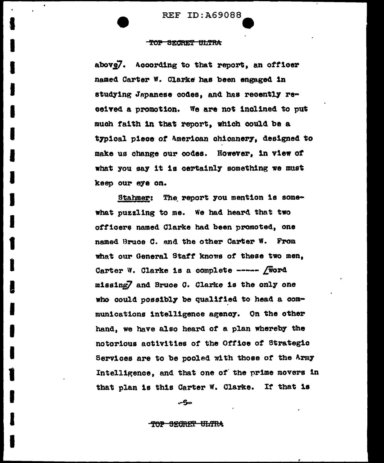## TOP SECRET ULTRA

above7. According to that report, an officer named Carter W. Clarke has been engaged in studying Japanese codes, and has recently received a promotion. We are not inclined to put much faith in that report, which could be a typical piece of American chicanery, designed to make us change our codes. However, in view of what you say it is certainly something we must keep our eye on.

Stahmer: The report you mention is somewhat puzzling to me. We had heard that two officers named Clarke had been promoted, one named Bruce C. and the other Carter W. From what our General Staff knows of these two men. Carter W. Clarke is a complete ----- *[Word* missing7 and Bruce C. Clarke is the only one who could possibly be qualified to head a communications intelligence agency. On the other hand, we have also heard of a plan whereby the notorious activities of the Office of Strategic Services are to be pooled with those of the Army Intelligence, and that one of the prime movers in that plan is this Carter W. Clarke. If that is

√-5⇔

<del>-TOP SEGRET ULTRA</del>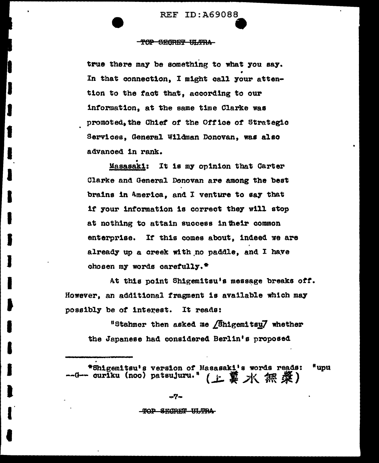## TOP SEGRET ULTRA

true there may be something to what you say. In that connection, I might call your attention to the fact that, according to our information, at the same time Clarke was promoted, the Chief of the Office of Strategic Services, General Wildman Donovan, was also advanced in rank.

Masasaki: It is my opinion that Carter Clarke and General Donovan are among the best brains in America, and I venture to say that if your information is correct they will stop at nothing to attain success in their common enterprise. If this comes about, indeed we are already up a creek with no paddle, and I have chosen my words carefully.<sup>\*</sup>

At this point Shigemitsu's message breaks off. However, an additional fragment is available which may possibly be of interest. It reads:

"Stahmer then asked me **Anigemitsu7** whether the Japanese had considered Berlin's proposed

\*Shigemitsu's version of Masasaki's words reads: "uou --0-- curiku (noo) patsujuru." (上翼水無梁)

### TOP SECRET ULTRA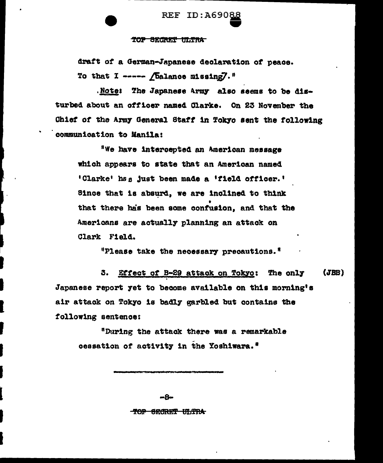#### SECRET ULTRA TOP

draft of a German-Japanese declaration of peace. To that I ----- (balance missing)."

.Note: The Japanese Army also seems to be disturbed about an officer named Clarke. On 23 November the Chief of the Army General Staff in Tokyo sent the following communication to Manila:

"We have intercepted an American message which appears to state that an American named 'Clarke' has just been made a 'field officer.' Since that is absurd, we are inclined to think that there has been some confusion, and that the Americans are actually planning an attack on Clark Field.

"Please take the necessary precautions."

Effect of B-29 attack on Tokyo: The only  $(JBB)$ 3. Japanese report yet to become available on this morning's air attack on Tokyo is badly garbled but contains the following sentence:

"During the attack there was a remarkable cessation of activity in the Yoshiwara."

> $-A$ TOP SECRET ULTRA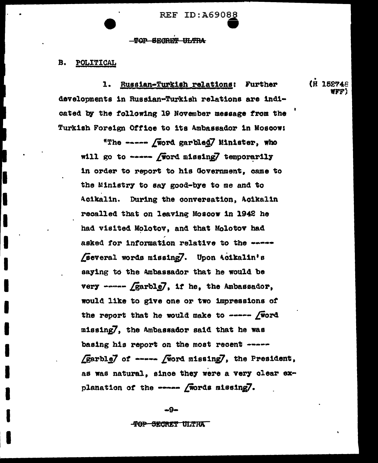## **TOP SECRET ULTRA**

#### B. **POLITICAL**

Russian-Turkish relations: Further ı. developments in Russian-Turkish relations are indicated by the following 19 November message from the Turkish Foreign Office to its Ambassador in Moscow:

"The ----- *[word garbled]* Minister, who will go to ----- (word missing) temporarily in order to report to his Government, came to the Ministry to say good-bye to me and to Acikalin. During the conversation, Acikalin recalled that on leaving Moscow in 1942 he had visited Molotov, and that Molotov had asked for information relative to the -----Several words missing7. Upon Acikalin's saying to the Ambassador that he would be very ----- Garble7, if he, the Ambassador, would like to give one or two impressions of the report that he would make to ----- [word missing7, the Ambassador said that he was basing his report on the most recent ----- $\sqrt{garble}$  of -----  $\sqrt{w}$ ord missing, the President, as was natural, since they were a very clear explanation of the ----- *[words missing]*.

(H 152748 ire :

-9-

<del>-TOP SECRET ULTRA</del>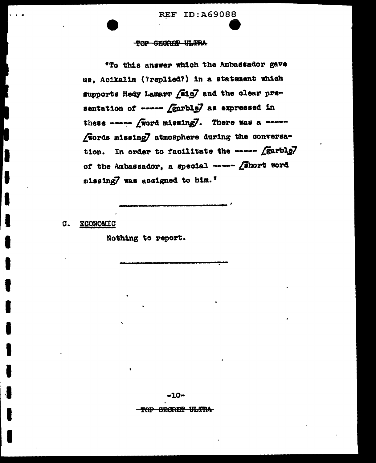**REF ID: A69088** 

## TOP SECRET ULTRA

"To this answer which the Ambassador gave us, Acikalin (?replied?) in a statement which supports Hedy Lamarr (sig7 and the clear presentation of ----- [garble] as expressed in these ----- *[word missing]*. There was a ----Words missing/ atmosphere during the conversa-In order to facilitate the ----- [garblg] tion. of the Ambassador, a special ----- *finort* word missing7 was assigned to him."

**ECONOMIC C.** 

Nothing to report.

-10-

**SECRET ULTRA** TOP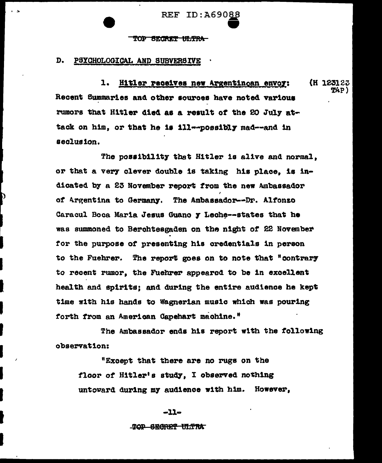#### סראיי SECRET ULTRA

#### D. PSYCHOLOGICAL AND SUBVERSIVE

 $1.$ Hitler receives new Argentinoan envoy: (H 123123 ዋፉኮ ነ Recent Summaries and other sources have noted various rumors that Hitler died as a result of the 20 July attack on him, or that he is ill--possibly mad--and in seclusion.

The possibility that Hitler is alive and normal. or that a very clever double is taking his place, is indicated by a 23 November report from the new Ambassador of Argentina to Germany. The Ambassador--Dr. Alfonzo Caracul Boca Maria Jesus Guano y Leche--states that he was summoned to Berchtesgaden on the night of 22 November for the purpose of presenting his credentials in person to the Fuehrer. The report goes on to note that "contrary to recent rumor, the Fuehrer appeared to be in excellent health and spirits; and during the entire audience he kept time with his hands to Wagnerian music which was pouring forth from an American Capehart machine."

The Ambassador ends his report with the following observation:

"Except that there are no rugs on the floor of Hitler's study. I observed nothing untoward during my audience with him. However,

## $-11-$

### TOP SECRET ULTIA